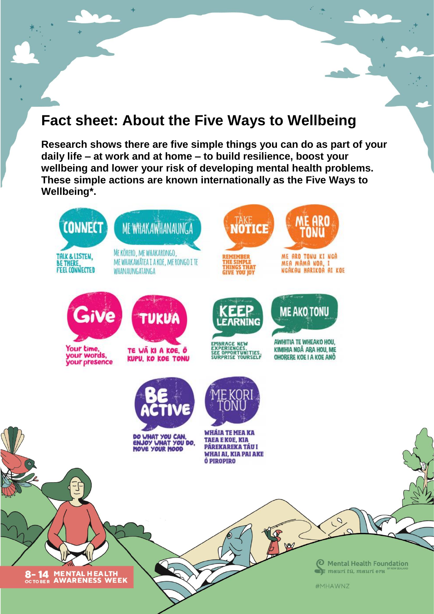# **Fact sheet: About the Five Ways to Wellbeing**

**Research shows there are five simple things you can do as part of your daily life – at work and at home – to build resilience, boost your wellbeing and lower your risk of developing mental health problems. These simple actions are known internationally as the Five Ways to Wellbeing\*.**

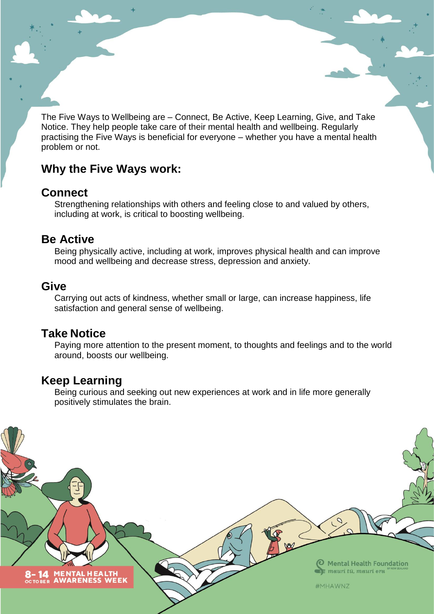The Five Ways to Wellbeing are – Connect, Be Active, Keep Learning, Give, and Take Notice. They help people take care of their mental health and wellbeing. Regularly practising the Five Ways is beneficial for everyone – whether you have a mental health problem or not.

### **Why the Five Ways work:**

#### **Connect**

Strengthening relationships with others and feeling close to and valued by others, including at work, is critical to boosting wellbeing.

#### **Be Active**

Being physically active, including at work, improves physical health and can improve mood and wellbeing and decrease stress, depression and anxiety.

### **Give**

Carrying out acts of kindness, whether small or large, can increase happiness, life satisfaction and general sense of wellbeing.

### **Take Notice**

Paying more attention to the present moment, to thoughts and feelings and to the world around, boosts our wellbeing.

### **Keep Learning**

Being curious and seeking out new experiences at work and in life more generally positively stimulates the brain.